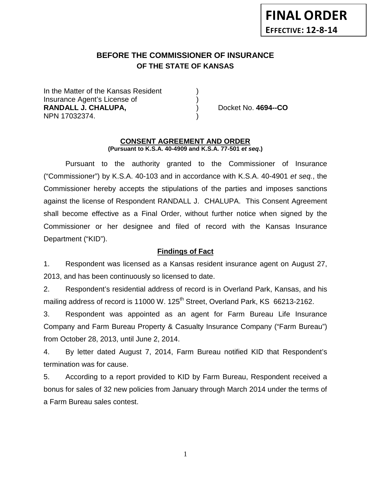# **BEFORE THE COMMISSIONER OF INSURANCE OF THE STATE OF KANSAS**

In the Matter of the Kansas Resident Insurance Agent's License of ) **RANDALL J. CHALUPA,** ) Docket No. **4694--CO** NPN 17032374. )

#### **CONSENT AGREEMENT AND ORDER (Pursuant to K.S.A. 40-4909 and K.S.A. 77-501** *et seq***.)**

Pursuant to the authority granted to the Commissioner of Insurance ("Commissioner") by K.S.A. 40-103 and in accordance with K.S.A. 40-4901 *et seq.*, the Commissioner hereby accepts the stipulations of the parties and imposes sanctions against the license of Respondent RANDALL J. CHALUPA. This Consent Agreement shall become effective as a Final Order, without further notice when signed by the Commissioner or her designee and filed of record with the Kansas Insurance Department ("KID").

# **Findings of Fact**

1. Respondent was licensed as a Kansas resident insurance agent on August 27, 2013, and has been continuously so licensed to date.

2. Respondent's residential address of record is in Overland Park, Kansas, and his mailing address of record is 11000 W. 125<sup>th</sup> Street, Overland Park, KS 66213-2162.

3. Respondent was appointed as an agent for Farm Bureau Life Insurance Company and Farm Bureau Property & Casualty Insurance Company ("Farm Bureau") from October 28, 2013, until June 2, 2014.

4. By letter dated August 7, 2014, Farm Bureau notified KID that Respondent's termination was for cause.

5. According to a report provided to KID by Farm Bureau, Respondent received a bonus for sales of 32 new policies from January through March 2014 under the terms of a Farm Bureau sales contest.

1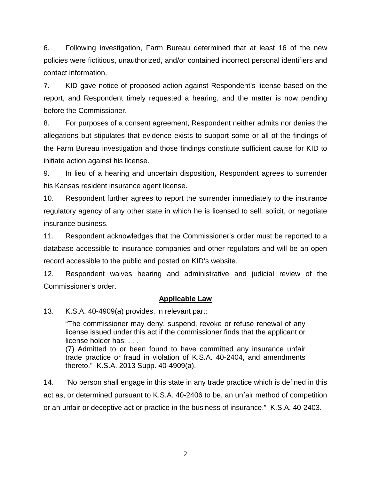6. Following investigation, Farm Bureau determined that at least 16 of the new policies were fictitious, unauthorized, and/or contained incorrect personal identifiers and contact information.

7. KID gave notice of proposed action against Respondent's license based on the report, and Respondent timely requested a hearing, and the matter is now pending before the Commissioner.

8. For purposes of a consent agreement, Respondent neither admits nor denies the allegations but stipulates that evidence exists to support some or all of the findings of the Farm Bureau investigation and those findings constitute sufficient cause for KID to initiate action against his license.

9. In lieu of a hearing and uncertain disposition, Respondent agrees to surrender his Kansas resident insurance agent license.

10. Respondent further agrees to report the surrender immediately to the insurance regulatory agency of any other state in which he is licensed to sell, solicit, or negotiate insurance business.

11. Respondent acknowledges that the Commissioner's order must be reported to a database accessible to insurance companies and other regulators and will be an open record accessible to the public and posted on KID's website.

12. Respondent waives hearing and administrative and judicial review of the Commissioner's order.

# **Applicable Law**

13. K.S.A. 40-4909(a) provides, in relevant part:

"The commissioner may deny, suspend, revoke or refuse renewal of any license issued under this act if the commissioner finds that the applicant or license holder has: . . .

(7) Admitted to or been found to have committed any insurance unfair trade practice or fraud in violation of K.S.A. 40-2404, and amendments thereto." K.S.A. 2013 Supp. 40-4909(a).

14. "No person shall engage in this state in any trade practice which is defined in this act as, or determined pursuant to K.S.A. 40-2406 to be, an unfair method of competition or an unfair or deceptive act or practice in the business of insurance." K.S.A. 40-2403.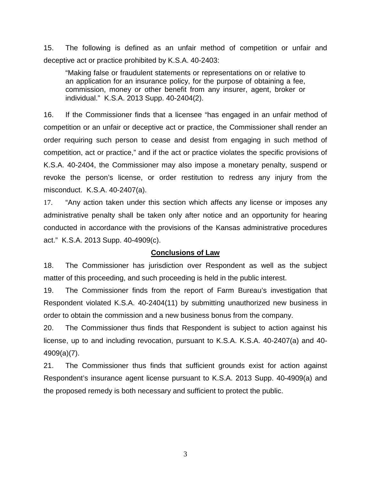15. The following is defined as an unfair method of competition or unfair and deceptive act or practice prohibited by K.S.A. 40-2403:

"Making false or fraudulent statements or representations on or relative to an application for an insurance policy, for the purpose of obtaining a fee, commission, money or other benefit from any insurer, agent, broker or individual." K.S.A. 2013 Supp. 40-2404(2).

16. If the Commissioner finds that a licensee "has engaged in an unfair method of competition or an unfair or deceptive act or practice, the Commissioner shall render an order requiring such person to cease and desist from engaging in such method of competition, act or practice," and if the act or practice violates the specific provisions of K.S.A. 40-2404, the Commissioner may also impose a monetary penalty, suspend or revoke the person's license, or order restitution to redress any injury from the misconduct. K.S.A. 40-2407(a).

17. "Any action taken under this section which affects any license or imposes any administrative penalty shall be taken only after notice and an opportunity for hearing conducted in accordance with the provisions of the Kansas administrative procedures act." K.S.A. 2013 Supp. 40-4909(c).

### **Conclusions of Law**

18. The Commissioner has jurisdiction over Respondent as well as the subject matter of this proceeding, and such proceeding is held in the public interest.

19. The Commissioner finds from the report of Farm Bureau's investigation that Respondent violated K.S.A. 40-2404(11) by submitting unauthorized new business in order to obtain the commission and a new business bonus from the company.

20. The Commissioner thus finds that Respondent is subject to action against his license, up to and including revocation, pursuant to K.S.A. K.S.A. 40-2407(a) and 40- 4909(a)(7).

21. The Commissioner thus finds that sufficient grounds exist for action against Respondent's insurance agent license pursuant to K.S.A. 2013 Supp. 40-4909(a) and the proposed remedy is both necessary and sufficient to protect the public.

3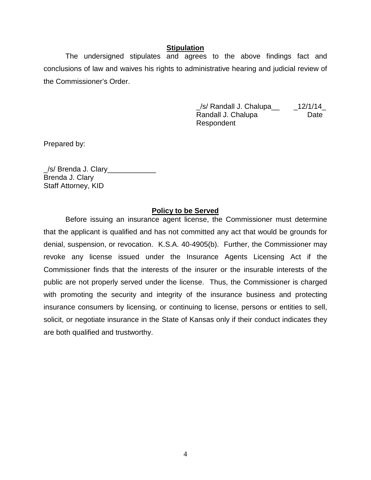### **Stipulation**

The undersigned stipulates and agrees to the above findings fact and conclusions of law and waives his rights to administrative hearing and judicial review of the Commissioner's Order.

> $\angle$ s/ Randall J. Chalupa $\angle$   $\angle$  12/1/14 Randall J. Chalupa **Date** Respondent

Prepared by:

\_/s/ Brenda J. Clary\_\_\_\_\_\_\_\_\_\_\_\_ Brenda J. Clary Staff Attorney, KID

#### **Policy to be Served**

Before issuing an insurance agent license, the Commissioner must determine that the applicant is qualified and has not committed any act that would be grounds for denial, suspension, or revocation. K.S.A. 40-4905(b). Further, the Commissioner may revoke any license issued under the Insurance Agents Licensing Act if the Commissioner finds that the interests of the insurer or the insurable interests of the public are not properly served under the license. Thus, the Commissioner is charged with promoting the security and integrity of the insurance business and protecting insurance consumers by licensing, or continuing to license, persons or entities to sell, solicit, or negotiate insurance in the State of Kansas only if their conduct indicates they are both qualified and trustworthy.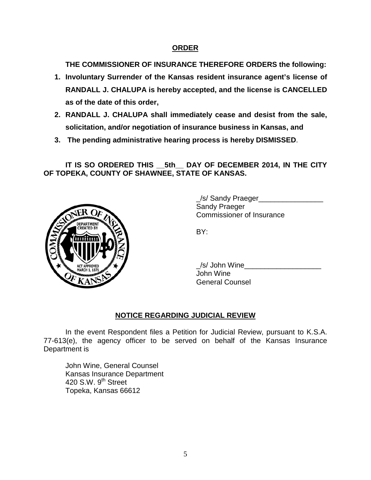# **ORDER**

**THE COMMISSIONER OF INSURANCE THEREFORE ORDERS the following:**

- **1. Involuntary Surrender of the Kansas resident insurance agent's license of RANDALL J. CHALUPA is hereby accepted, and the license is CANCELLED as of the date of this order,**
- **2. RANDALL J. CHALUPA shall immediately cease and desist from the sale, solicitation, and/or negotiation of insurance business in Kansas, and**
- **3. The pending administrative hearing process is hereby DISMISSED**.

**IT IS SO ORDERED THIS \_\_5th\_\_ DAY OF DECEMBER 2014, IN THE CITY OF TOPEKA, COUNTY OF SHAWNEE, STATE OF KANSAS.**



\_/s/ Sandy Praeger\_\_\_\_\_\_\_\_\_\_\_\_\_\_\_\_ Sandy Praeger Commissioner of Insurance

BY:

\_/s/ John Wine\_\_\_\_\_\_\_\_\_\_\_\_\_\_\_\_\_\_\_ John Wine General Counsel

# **NOTICE REGARDING JUDICIAL REVIEW**

In the event Respondent files a Petition for Judicial Review, pursuant to K.S.A. 77-613(e), the agency officer to be served on behalf of the Kansas Insurance Department is

John Wine, General Counsel Kansas Insurance Department 420 S.W.  $9<sup>th</sup>$  Street Topeka, Kansas 66612